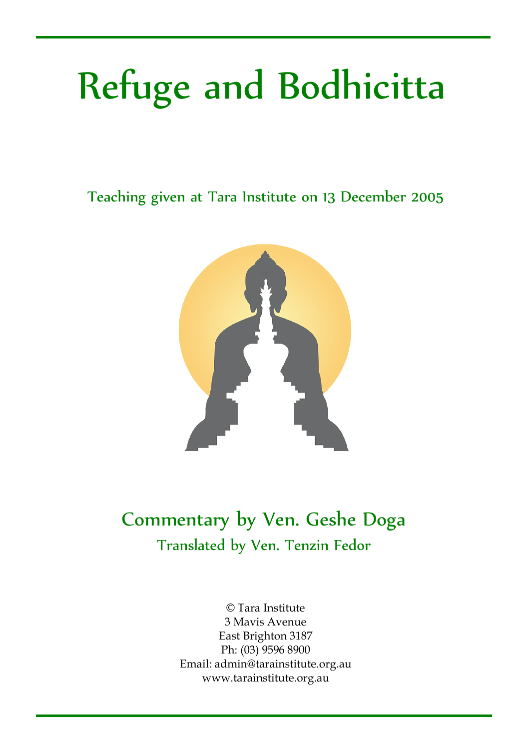# Refuge and Bodhicitta

Teaching given at Tara Institute on 13 December 2005



### Commentary by Ven. Geshe Doga Translated by Ven. Tenzin Fedor

© Tara Institute 3 Mavis Avenue East Brighton 3187 Ph: (03) 9596 8900 Email: admin@tarainstitute.org.au www.tarainstitute.org.au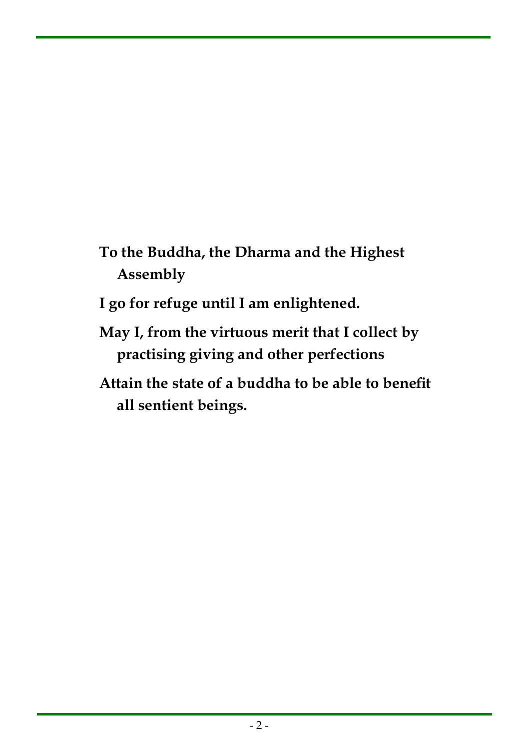- **To the Buddha, the Dharma and the Highest Assembly**
- **I go for refuge until I am enlightened.**
- **May I, from the virtuous merit that I collect by practising giving and other perfections**
- **Attain the state of a buddha to be able to benefit all sentient beings.**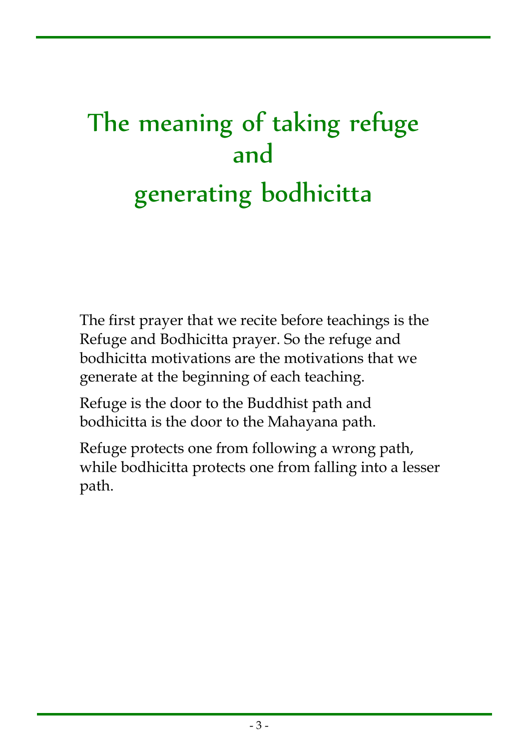## The meaning of taking refuge and generating bodhicitta

The first prayer that we recite before teachings is the Refuge and Bodhicitta prayer. So the refuge and bodhicitta motivations are the motivations that we generate at the beginning of each teaching.

Refuge is the door to the Buddhist path and bodhicitta is the door to the Mahayana path.

Refuge protects one from following a wrong path, while bodhicitta protects one from falling into a lesser path.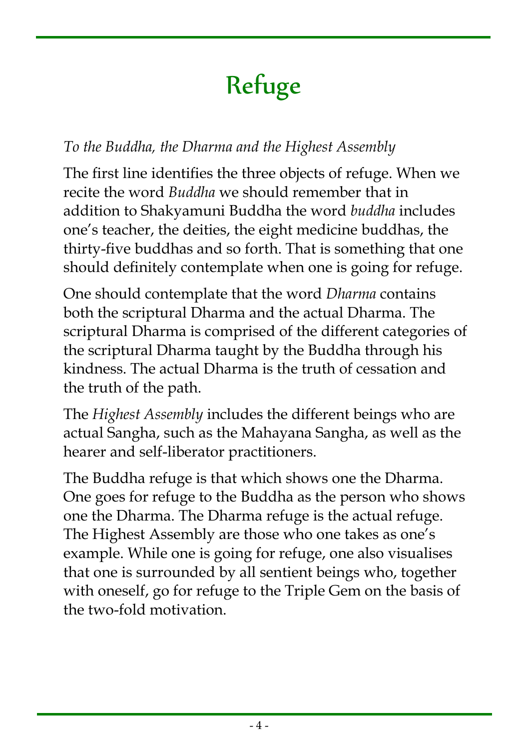### Refuge

### *To the Buddha, the Dharma and the Highest Assembly*

The first line identifies the three objects of refuge. When we recite the word *Buddha* we should remember that in addition to Shakyamuni Buddha the word *buddha* includes one's teacher, the deities, the eight medicine buddhas, the thirty-five buddhas and so forth. That is something that one should definitely contemplate when one is going for refuge.

One should contemplate that the word *Dharma* contains both the scriptural Dharma and the actual Dharma. The scriptural Dharma is comprised of the different categories of the scriptural Dharma taught by the Buddha through his kindness. The actual Dharma is the truth of cessation and the truth of the path.

The *Highest Assembly* includes the different beings who are actual Sangha, such as the Mahayana Sangha, as well as the hearer and self-liberator practitioners.

The Buddha refuge is that which shows one the Dharma. One goes for refuge to the Buddha as the person who shows one the Dharma. The Dharma refuge is the actual refuge. The Highest Assembly are those who one takes as one's example. While one is going for refuge, one also visualises that one is surrounded by all sentient beings who, together with oneself, go for refuge to the Triple Gem on the basis of the two-fold motivation.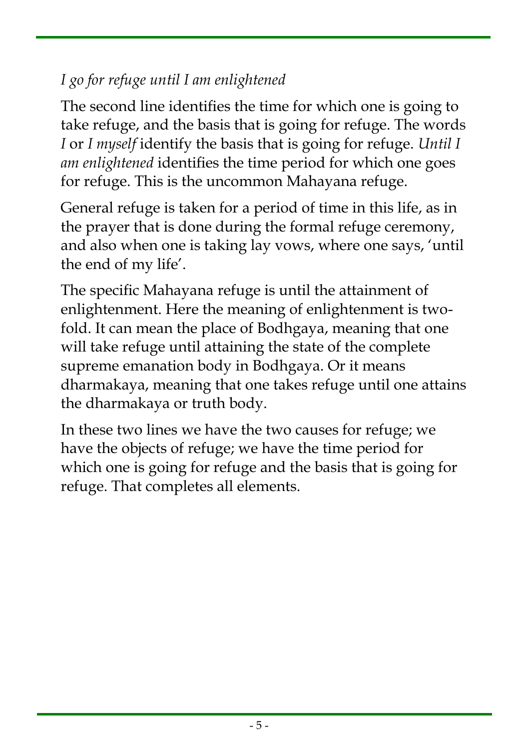### *I go for refuge until I am enlightened*

The second line identifies the time for which one is going to take refuge, and the basis that is going for refuge. The words *I* or *I myself* identify the basis that is going for refuge. *Until I am enlightened* identifies the time period for which one goes for refuge. This is the uncommon Mahayana refuge.

General refuge is taken for a period of time in this life, as in the prayer that is done during the formal refuge ceremony, and also when one is taking lay vows, where one says, 'until the end of my life'.

The specific Mahayana refuge is until the attainment of enlightenment. Here the meaning of enlightenment is twofold. It can mean the place of Bodhgaya, meaning that one will take refuge until attaining the state of the complete supreme emanation body in Bodhgaya. Or it means dharmakaya, meaning that one takes refuge until one attains the dharmakaya or truth body.

In these two lines we have the two causes for refuge; we have the objects of refuge; we have the time period for which one is going for refuge and the basis that is going for refuge. That completes all elements.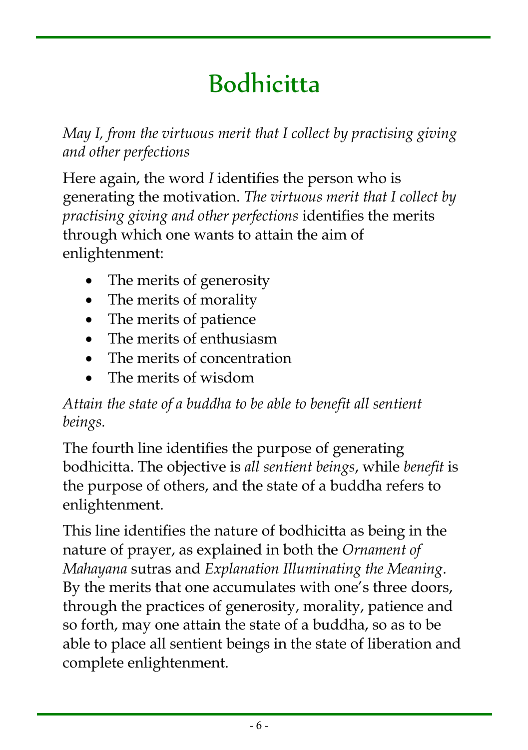### Bodhicitta

*May I, from the virtuous merit that I collect by practising giving and other perfections*

Here again, the word *I* identifies the person who is generating the motivation. *The virtuous merit that I collect by practising giving and other perfections* identifies the merits through which one wants to attain the aim of enlightenment:

- The merits of generosity
- The merits of morality
- The merits of patience
- The merits of enthusiasm
- The merits of concentration
- The merits of wisdom

### *Attain the state of a buddha to be able to benefit all sentient beings.*

The fourth line identifies the purpose of generating bodhicitta. The objective is *all sentient beings*, while *benefit* is the purpose of others, and the state of a buddha refers to enlightenment.

This line identifies the nature of bodhicitta as being in the nature of prayer, as explained in both the *Ornament of Mahayana* sutras and *Explanation Illuminating the Meaning*. By the merits that one accumulates with one's three doors, through the practices of generosity, morality, patience and so forth, may one attain the state of a buddha, so as to be able to place all sentient beings in the state of liberation and complete enlightenment.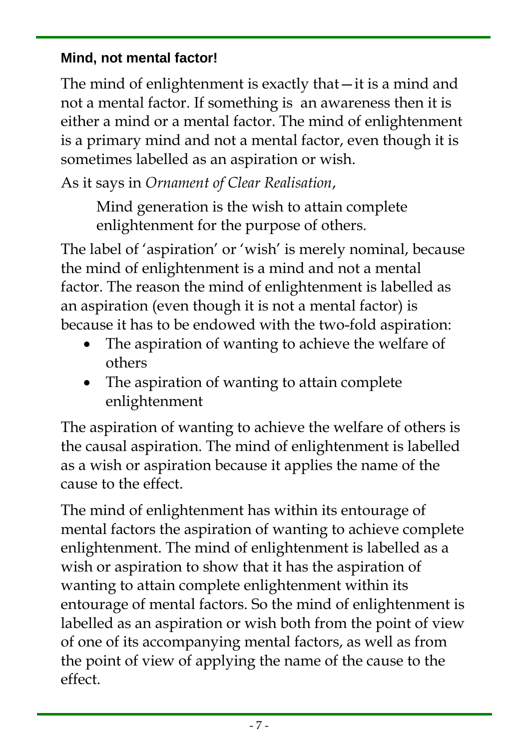#### **Mind, not mental factor!**

The mind of enlightenment is exactly that—it is a mind and not a mental factor. If something is an awareness then it is either a mind or a mental factor. The mind of enlightenment is a primary mind and not a mental factor, even though it is sometimes labelled as an aspiration or wish.

As it says in *Ornament of Clear Realisation*,

Mind generation is the wish to attain complete enlightenment for the purpose of others.

The label of 'aspiration' or 'wish' is merely nominal, because the mind of enlightenment is a mind and not a mental factor. The reason the mind of enlightenment is labelled as an aspiration (even though it is not a mental factor) is because it has to be endowed with the two-fold aspiration:

- The aspiration of wanting to achieve the welfare of others
- The aspiration of wanting to attain complete enlightenment

The aspiration of wanting to achieve the welfare of others is the causal aspiration. The mind of enlightenment is labelled as a wish or aspiration because it applies the name of the cause to the effect.

The mind of enlightenment has within its entourage of mental factors the aspiration of wanting to achieve complete enlightenment. The mind of enlightenment is labelled as a wish or aspiration to show that it has the aspiration of wanting to attain complete enlightenment within its entourage of mental factors. So the mind of enlightenment is labelled as an aspiration or wish both from the point of view of one of its accompanying mental factors, as well as from the point of view of applying the name of the cause to the effect.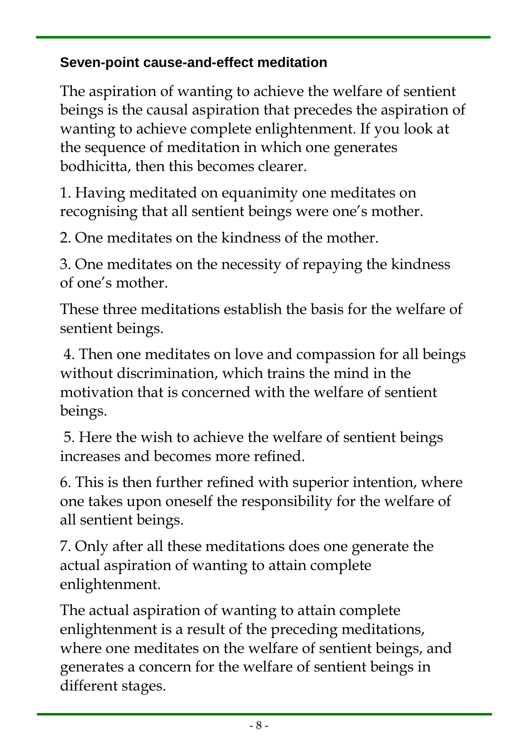#### **Seven-point cause-and-effect meditation**

The aspiration of wanting to achieve the welfare of sentient beings is the causal aspiration that precedes the aspiration of wanting to achieve complete enlightenment. If you look at the sequence of meditation in which one generates bodhicitta, then this becomes clearer.

1. Having meditated on equanimity one meditates on recognising that all sentient beings were one's mother.

2. One meditates on the kindness of the mother.

3. One meditates on the necessity of repaying the kindness of one's mother.

These three meditations establish the basis for the welfare of sentient beings.

4. Then one meditates on love and compassion for all beings without discrimination, which trains the mind in the motivation that is concerned with the welfare of sentient beings.

5. Here the wish to achieve the welfare of sentient beings increases and becomes more refined.

6. This is then further refined with superior intention, where one takes upon oneself the responsibility for the welfare of all sentient beings.

7. Only after all these meditations does one generate the actual aspiration of wanting to attain complete enlightenment.

The actual aspiration of wanting to attain complete enlightenment is a result of the preceding meditations, where one meditates on the welfare of sentient beings, and generates a concern for the welfare of sentient beings in different stages.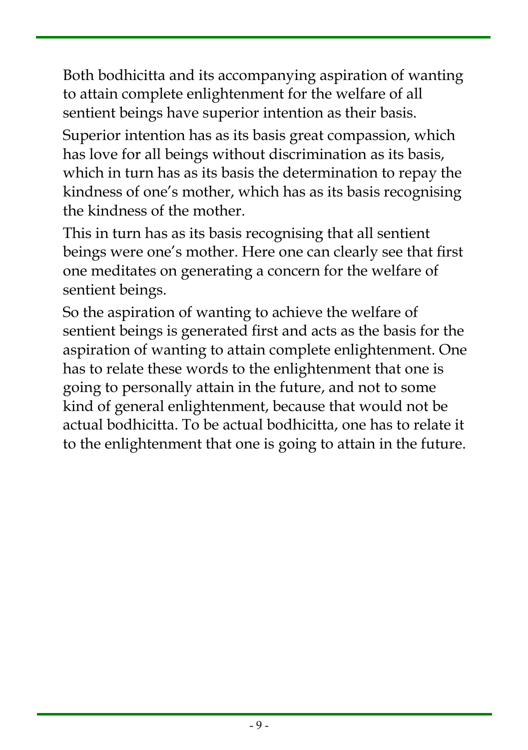Both bodhicitta and its accompanying aspiration of wanting to attain complete enlightenment for the welfare of all sentient beings have superior intention as their basis.

Superior intention has as its basis great compassion, which has love for all beings without discrimination as its basis, which in turn has as its basis the determination to repay the kindness of one's mother, which has as its basis recognising the kindness of the mother.

This in turn has as its basis recognising that all sentient beings were one's mother. Here one can clearly see that first one meditates on generating a concern for the welfare of sentient beings.

So the aspiration of wanting to achieve the welfare of sentient beings is generated first and acts as the basis for the aspiration of wanting to attain complete enlightenment. One has to relate these words to the enlightenment that one is going to personally attain in the future, and not to some kind of general enlightenment, because that would not be actual bodhicitta. To be actual bodhicitta, one has to relate it to the enlightenment that one is going to attain in the future.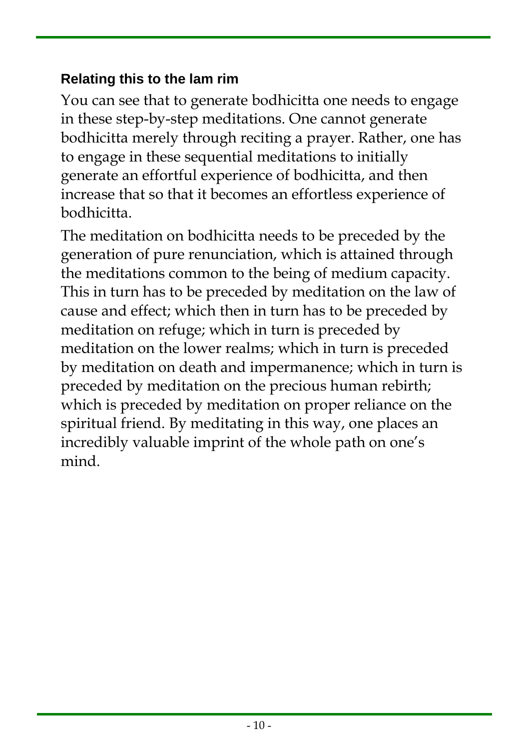#### **Relating this to the lam rim**

You can see that to generate bodhicitta one needs to engage in these step-by-step meditations. One cannot generate bodhicitta merely through reciting a prayer. Rather, one has to engage in these sequential meditations to initially generate an effortful experience of bodhicitta, and then increase that so that it becomes an effortless experience of bodhicitta.

The meditation on bodhicitta needs to be preceded by the generation of pure renunciation, which is attained through the meditations common to the being of medium capacity. This in turn has to be preceded by meditation on the law of cause and effect; which then in turn has to be preceded by meditation on refuge; which in turn is preceded by meditation on the lower realms; which in turn is preceded by meditation on death and impermanence; which in turn is preceded by meditation on the precious human rebirth; which is preceded by meditation on proper reliance on the spiritual friend. By meditating in this way, one places an incredibly valuable imprint of the whole path on one's mind.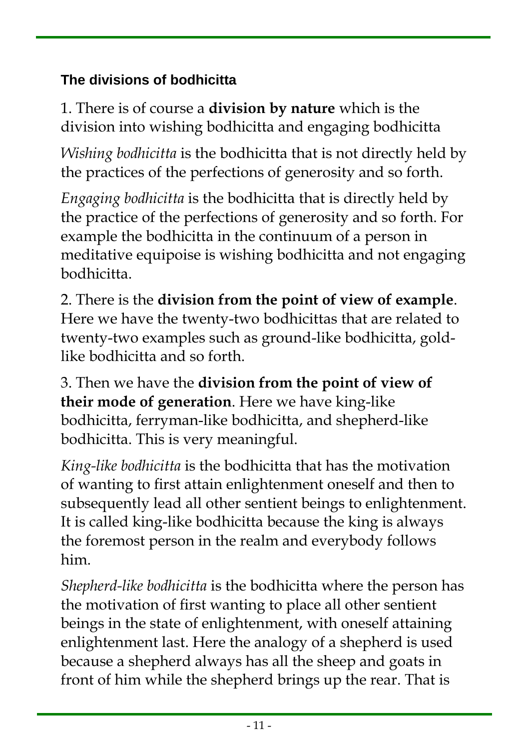### **The divisions of bodhicitta**

1. There is of course a **division by nature** which is the division into wishing bodhicitta and engaging bodhicitta

*Wishing bodhicitta* is the bodhicitta that is not directly held by the practices of the perfections of generosity and so forth.

*Engaging bodhicitta* is the bodhicitta that is directly held by the practice of the perfections of generosity and so forth. For example the bodhicitta in the continuum of a person in meditative equipoise is wishing bodhicitta and not engaging bodhicitta.

2. There is the **division from the point of view of example**. Here we have the twenty-two bodhicittas that are related to twenty-two examples such as ground-like bodhicitta, goldlike bodhicitta and so forth.

3. Then we have the **division from the point of view of their mode of generation**. Here we have king-like bodhicitta, ferryman-like bodhicitta, and shepherd-like bodhicitta. This is very meaningful.

*King-like bodhicitta* is the bodhicitta that has the motivation of wanting to first attain enlightenment oneself and then to subsequently lead all other sentient beings to enlightenment. It is called king-like bodhicitta because the king is always the foremost person in the realm and everybody follows him.

*Shepherd-like bodhicitta* is the bodhicitta where the person has the motivation of first wanting to place all other sentient beings in the state of enlightenment, with oneself attaining enlightenment last. Here the analogy of a shepherd is used because a shepherd always has all the sheep and goats in front of him while the shepherd brings up the rear. That is